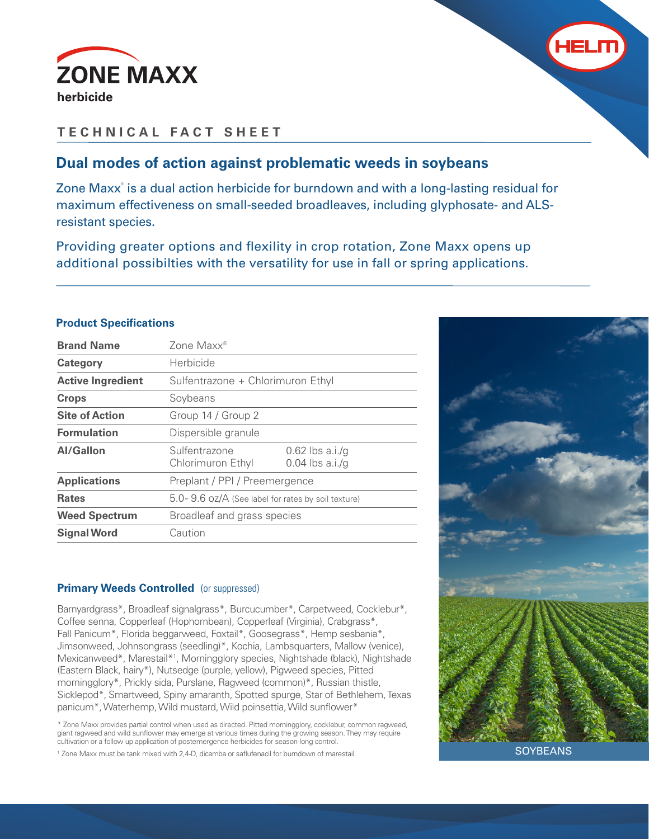



# **TECHNICAL FACT SHEET**

## **Dual modes of action against problematic weeds in soybeans**

Zone Maxx<sup>®</sup> is a dual action herbicide for burndown and with a long-lasting residual for maximum effectiveness on small-seeded broadleaves, including glyphosate- and ALSresistant species.

Providing greater options and flexility in crop rotation, Zone Maxx opens up additional possibilties with the versatility for use in fall or spring applications.

### **Product Specifications**

| <b>Brand Name</b>        | Zone Maxx <sup>®</sup>                             |                                        |  |
|--------------------------|----------------------------------------------------|----------------------------------------|--|
| Category                 | Herbicide                                          |                                        |  |
| <b>Active Ingredient</b> | Sulfentrazone + Chlorimuron Ethyl                  |                                        |  |
| <b>Crops</b>             | Soybeans                                           |                                        |  |
| <b>Site of Action</b>    | Group 14 / Group 2                                 |                                        |  |
| <b>Formulation</b>       | Dispersible granule                                |                                        |  |
| Al/Gallon                | Sulfentrazone<br>Chlorimuron Ethyl                 | $0.62$ lbs a.i./q<br>$0.04$ lbs a.i./g |  |
| <b>Applications</b>      | Preplant / PPI / Preemergence                      |                                        |  |
| <b>Rates</b>             | 5.0-9.6 oz/A (See label for rates by soil texture) |                                        |  |
| <b>Weed Spectrum</b>     | Broadleaf and grass species                        |                                        |  |
| <b>Signal Word</b>       | Caution                                            |                                        |  |
|                          |                                                    |                                        |  |

### **Primary Weeds Controlled** (or suppressed)

Barnyardgrass\*, Broadleaf signalgrass\*, Burcucumber\*, Carpetweed, Cocklebur\*, Coffee senna, Copperleaf (Hophornbean), Copperleaf (Virginia), Crabgrass\*, Fall Panicum\*, Florida beggarweed, Foxtail\*, Goosegrass\*, Hemp sesbania\*, Jimsonweed, Johnsongrass (seedling)\*, Kochia, Lambsquarters, Mallow (venice), Mexicanweed\*, Marestail\*<sup>1</sup>, Morningglory species, Nightshade (black), Nightshade (Eastern Black, hairy\*), Nutsedge (purple, yellow), Pigweed species, Pitted morningglory\*, Prickly sida, Purslane, Ragweed (common)\*, Russian thistle, Sicklepod\*, Smartweed, Spiny amaranth, Spotted spurge, Star of Bethlehem, Texas panicum\*, Waterhemp, Wild mustard, Wild poinsettia, Wild sunflower\*

\* Zone Maxx provides partial control when used as directed. Pitted morningglory, cocklebur, common ragweed, giant ragweed and wild sunflower may emerge at various times during the growing season. They may require cultivation or a follow up application of postemergence herbicides for season-long control.

1 Zone Maxx must be tank mixed with 2,4-D, dicamba or saflufenacil for burndown of marestail.



**SOYBEANS**